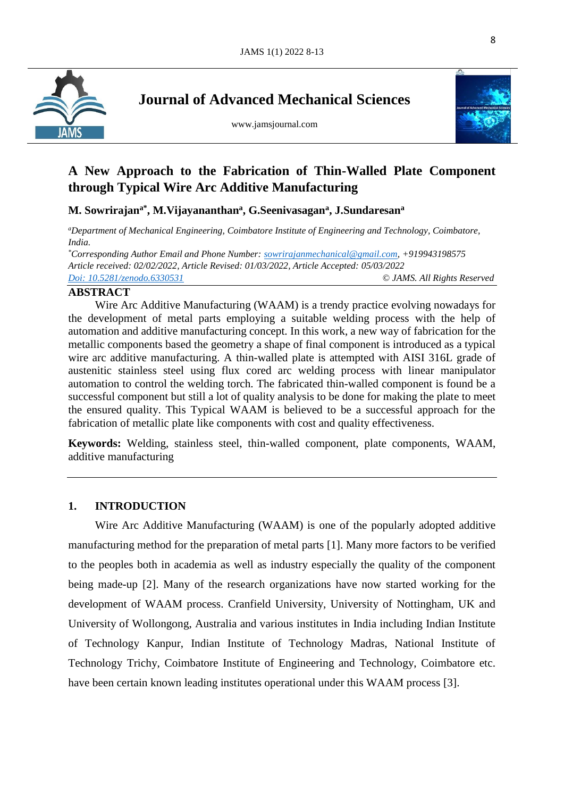

**Journal of Advanced Mechanical Sciences**

www.jamsjournal.com



l

# **A New Approach to the Fabrication of Thin-Walled Plate Component through Typical Wire Arc Additive Manufacturing**

**M. Sowrirajana\* , M.Vijayananthan<sup>a</sup> , G.Seenivasagan<sup>a</sup> , J.Sundaresan<sup>a</sup>**

*<sup>a</sup>Department of Mechanical Engineering, Coimbatore Institute of Engineering and Technology, Coimbatore, India.*

*\*Corresponding Author Email and Phone Number: [sowrirajanmechanical@gmail.com,](mailto:sowrirajanmechanical@gmail.com) +919943198575 Article received: 02/02/2022, Article Revised: 01/03/2022, Article Accepted: 05/03/2022 Doi: [10.5281/zenodo.6330531](https://www.jamsjournal.com/view-articles)* © *JAMS. All Rights Reserved*

## **ABSTRACT**

Wire Arc Additive Manufacturing (WAAM) is a trendy practice evolving nowadays for the development of metal parts employing a suitable welding process with the help of automation and additive manufacturing concept. In this work, a new way of fabrication for the metallic components based the geometry a shape of final component is introduced as a typical wire arc additive manufacturing. A thin-walled plate is attempted with AISI 316L grade of austenitic stainless steel using flux cored arc welding process with linear manipulator automation to control the welding torch. The fabricated thin-walled component is found be a successful component but still a lot of quality analysis to be done for making the plate to meet the ensured quality. This Typical WAAM is believed to be a successful approach for the fabrication of metallic plate like components with cost and quality effectiveness.

**Keywords:** Welding, stainless steel, thin-walled component, plate components, WAAM, additive manufacturing

# **1. INTRODUCTION**

Wire Arc Additive Manufacturing (WAAM) is one of the popularly adopted additive manufacturing method for the preparation of metal parts [1]. Many more factors to be verified to the peoples both in academia as well as industry especially the quality of the component being made-up [2]. Many of the research organizations have now started working for the development of WAAM process. Cranfield University, University of Nottingham, UK and University of Wollongong, Australia and various institutes in India including Indian Institute of Technology Kanpur, Indian Institute of Technology Madras, National Institute of Technology Trichy, Coimbatore Institute of Engineering and Technology, Coimbatore etc. have been certain known leading institutes operational under this WAAM process [3].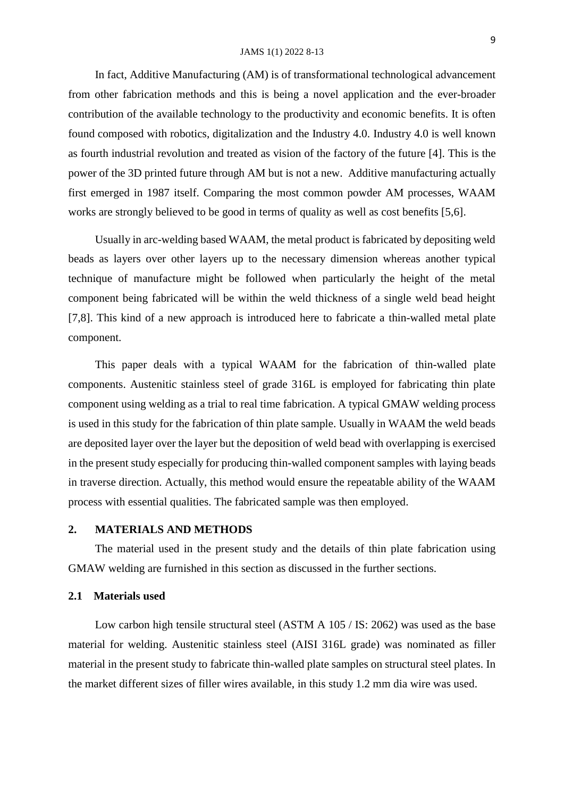#### JAMS 1(1) 2022 8-13

In fact, Additive Manufacturing (AM) is of transformational technological advancement from other fabrication methods and this is being a novel application and the ever-broader contribution of the available technology to the productivity and economic benefits. It is often found composed with robotics, digitalization and the Industry 4.0. Industry 4.0 is well known as fourth industrial revolution and treated as vision of the factory of the future [4]. This is the power of the 3D printed future through AM but is not a new. Additive manufacturing actually first emerged in 1987 itself. Comparing the most common powder AM processes, WAAM works are strongly believed to be good in terms of quality as well as cost benefits [5,6].

Usually in arc-welding based WAAM, the metal product is fabricated by depositing weld beads as layers over other layers up to the necessary dimension whereas another typical technique of manufacture might be followed when particularly the height of the metal component being fabricated will be within the weld thickness of a single weld bead height [7,8]. This kind of a new approach is introduced here to fabricate a thin-walled metal plate component.

This paper deals with a typical WAAM for the fabrication of thin-walled plate components. Austenitic stainless steel of grade 316L is employed for fabricating thin plate component using welding as a trial to real time fabrication. A typical GMAW welding process is used in this study for the fabrication of thin plate sample. Usually in WAAM the weld beads are deposited layer over the layer but the deposition of weld bead with overlapping is exercised in the present study especially for producing thin-walled component samples with laying beads in traverse direction. Actually, this method would ensure the repeatable ability of the WAAM process with essential qualities. The fabricated sample was then employed.

### **2. MATERIALS AND METHODS**

The material used in the present study and the details of thin plate fabrication using GMAW welding are furnished in this section as discussed in the further sections.

### **2.1 Materials used**

Low carbon high tensile structural steel (ASTM A 105 / IS: 2062) was used as the base material for welding. Austenitic stainless steel (AISI 316L grade) was nominated as filler material in the present study to fabricate thin-walled plate samples on structural steel plates. In the market different sizes of filler wires available, in this study 1.2 mm dia wire was used.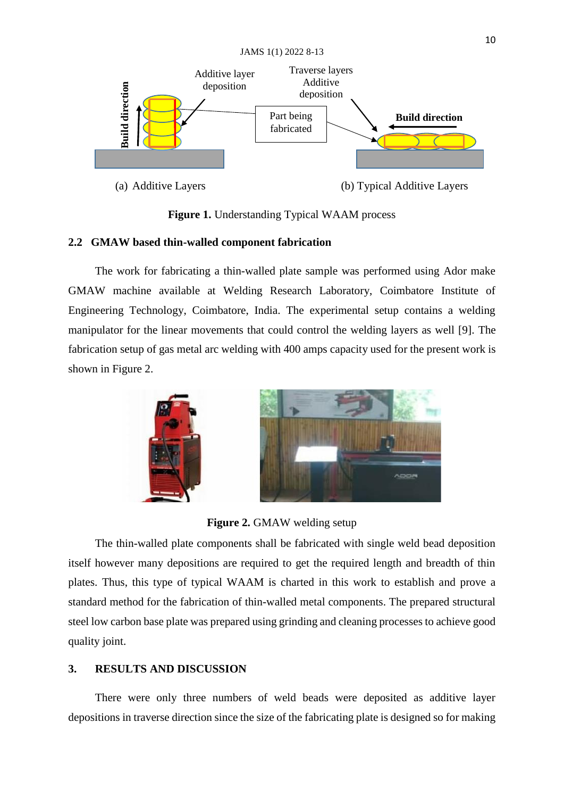

**Figure 1.** Understanding Typical WAAM process

# **2.2 GMAW based thin-walled component fabrication**

The work for fabricating a thin-walled plate sample was performed using Ador make GMAW machine available at Welding Research Laboratory, Coimbatore Institute of Engineering Technology, Coimbatore, India. The experimental setup contains a welding manipulator for the linear movements that could control the welding layers as well [9]. The fabrication setup of gas metal arc welding with 400 amps capacity used for the present work is shown in Figure 2.



**Figure 2.** GMAW welding setup

The thin-walled plate components shall be fabricated with single weld bead deposition itself however many depositions are required to get the required length and breadth of thin plates. Thus, this type of typical WAAM is charted in this work to establish and prove a standard method for the fabrication of thin-walled metal components. The prepared structural steel low carbon base plate was prepared using grinding and cleaning processes to achieve good quality joint. depositions in traverse directions in traverse different and the sixe of the fabricating plate is designed with the sixe of the fabrication of the sixe of the sixe of the sixe of the sixe of the sixe of the sixe of making

# **3. RESULTS AND DISCUSSION**

There were only three numbers of weld beads were deposited as additive layer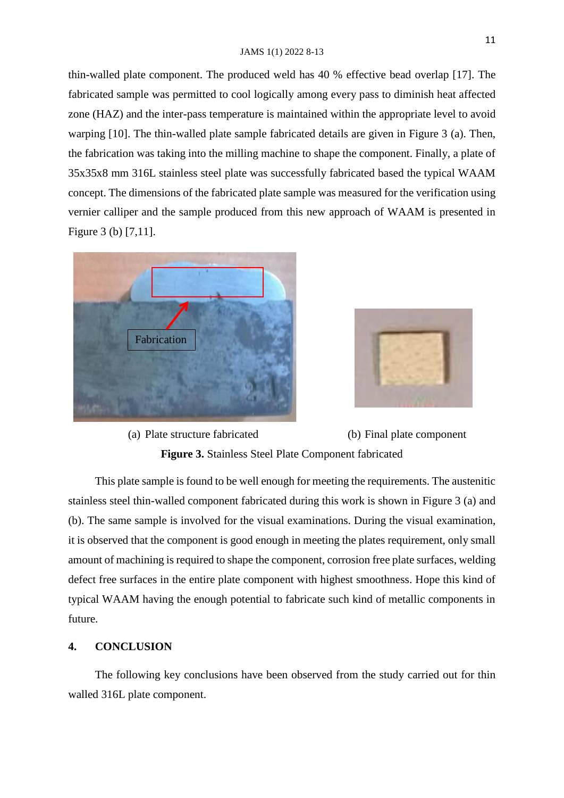#### JAMS 1(1) 2022 8-13

thin-walled plate component. The produced weld has 40 % effective bead overlap [17]. The fabricated sample was permitted to cool logically among every pass to diminish heat affected zone (HAZ) and the inter-pass temperature is maintained within the appropriate level to avoid warping [10]. The thin-walled plate sample fabricated details are given in Figure 3 (a). Then, the fabrication was taking into the milling machine to shape the component. Finally, a plate of 35x35x8 mm 316L stainless steel plate was successfully fabricated based the typical WAAM concept. The dimensions of the fabricated plate sample was measured for the verification using vernier calliper and the sample produced from this new approach of WAAM is presented in Figure 3 (b) [7,11].





(a) Plate structure fabricated (b) Final plate component **Figure 3.** Stainless Steel Plate Component fabricated

This plate sample is found to be well enough for meeting the requirements. The austenitic stainless steel thin-walled component fabricated during this work is shown in Figure 3 (a) and (b). The same sample is involved for the visual examinations. During the visual examination, it is observed that the component is good enough in meeting the plates requirement, only small amount of machining is required to shape the component, corrosion free plate surfaces, welding defect free surfaces in the entire plate component with highest smoothness. Hope this kind of typical WAAM having the enough potential to fabricate such kind of metallic components in future.

### **4. CONCLUSION**

The following key conclusions have been observed from the study carried out for thin walled 316L plate component.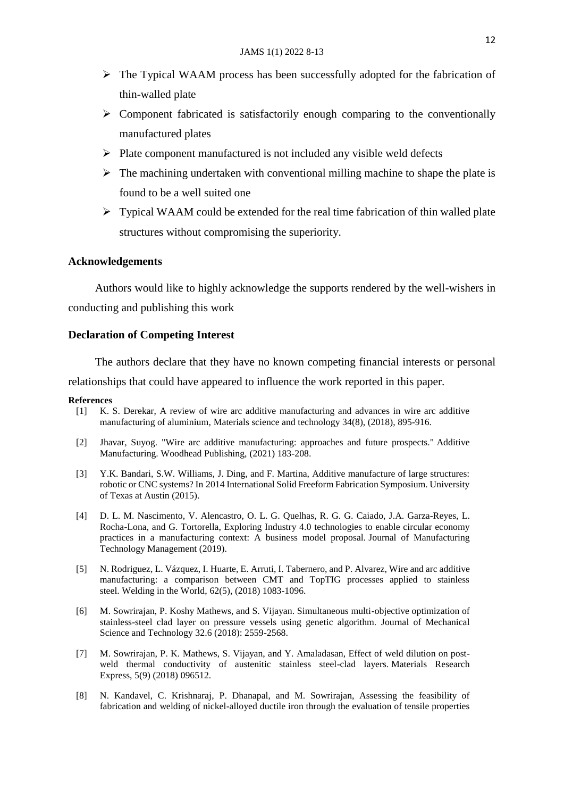- $\triangleright$  The Typical WAAM process has been successfully adopted for the fabrication of thin-walled plate
- $\triangleright$  Component fabricated is satisfactorily enough comparing to the conventionally manufactured plates
- $\triangleright$  Plate component manufactured is not included any visible weld defects
- $\triangleright$  The machining undertaken with conventional milling machine to shape the plate is found to be a well suited one
- $\triangleright$  Typical WAAM could be extended for the real time fabrication of thin walled plate structures without compromising the superiority.

### **Acknowledgements**

Authors would like to highly acknowledge the supports rendered by the well-wishers in conducting and publishing this work

### **Declaration of Competing Interest**

The authors declare that they have no known competing financial interests or personal

relationships that could have appeared to influence the work reported in this paper.

#### **References**

- [1] K. S. Derekar, A review of wire arc additive manufacturing and advances in wire arc additive manufacturing of aluminium, Materials science and technology 34(8), (2018), 895-916.
- [2] Jhavar, Suyog. "Wire arc additive manufacturing: approaches and future prospects." Additive Manufacturing. Woodhead Publishing, (2021) 183-208.
- [3] Y.K. Bandari, S.W. Williams, J. Ding, and F. Martina, Additive manufacture of large structures: robotic or CNC systems? In 2014 International Solid Freeform Fabrication Symposium. University of Texas at Austin (2015).
- [4] D. L. M. Nascimento, V. Alencastro, O. L. G. Quelhas, R. G. G. Caiado, J.A. Garza-Reyes, L. Rocha-Lona, and G. Tortorella, Exploring Industry 4.0 technologies to enable circular economy practices in a manufacturing context: A business model proposal. Journal of Manufacturing Technology Management (2019).
- [5] N. Rodriguez, L. Vázquez, I. Huarte, E. Arruti, I. Tabernero, and P. Alvarez, Wire and arc additive manufacturing: a comparison between CMT and TopTIG processes applied to stainless steel. Welding in the World, 62(5), (2018) 1083-1096.
- [6] M. Sowrirajan, P. Koshy Mathews, and S. Vijayan. Simultaneous multi-objective optimization of stainless-steel clad layer on pressure vessels using genetic algorithm. Journal of Mechanical Science and Technology 32.6 (2018): 2559-2568.
- [7] M. Sowrirajan, P. K. Mathews, S. Vijayan, and Y. Amaladasan, Effect of weld dilution on postweld thermal conductivity of austenitic stainless steel-clad layers. Materials Research Express, 5(9) (2018) 096512.
- [8] N. Kandavel, C. Krishnaraj, P. Dhanapal, and M. Sowrirajan, Assessing the feasibility of fabrication and welding of nickel-alloyed ductile iron through the evaluation of tensile properties